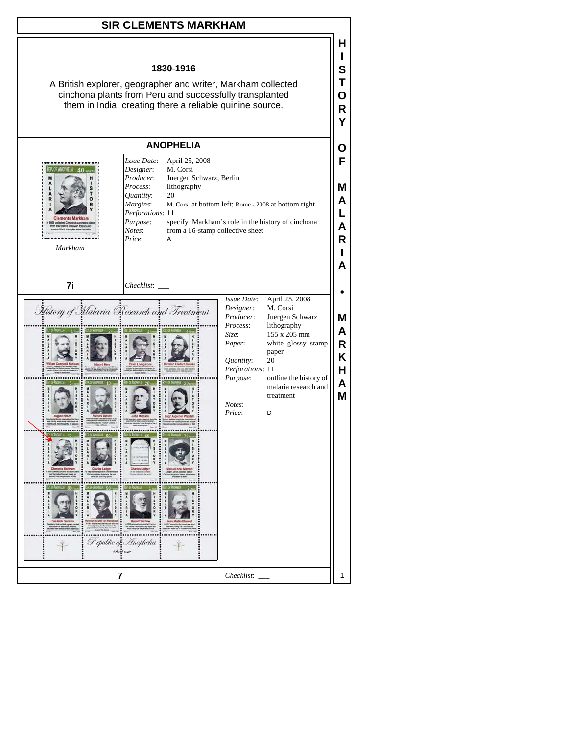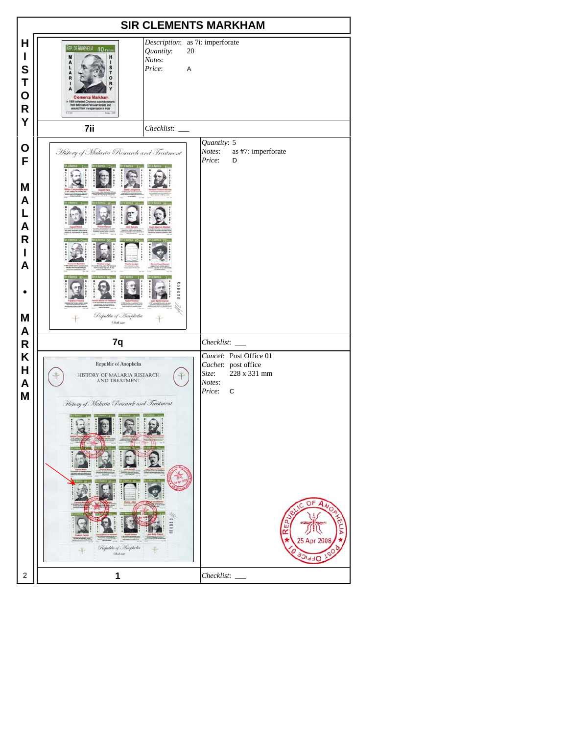| <b>SIR CLEMENTS MARKHAM</b>                                     |                                                                                                                                                                                                                                                                                            |                                                                                                                                     |
|-----------------------------------------------------------------|--------------------------------------------------------------------------------------------------------------------------------------------------------------------------------------------------------------------------------------------------------------------------------------------|-------------------------------------------------------------------------------------------------------------------------------------|
| н<br>$\mathsf{l}$<br>S<br>Τ<br>$\mathbf O$<br>$\mathsf{R}$<br>Y | Description: as 7i: imperforate<br>REP. OF ANOPHELIA 40 FOUR<br>Quantity:<br>20<br>M<br>H<br>Notes:<br>A<br>1<br>L<br>Price:<br>s<br>A<br>A<br>T<br>o<br>R<br>R<br><b>Clements Markham</b><br>In 1859 collected Cinchone succirubra plateats and<br>assured their transplantation in India |                                                                                                                                     |
|                                                                 | 7ii                                                                                                                                                                                                                                                                                        |                                                                                                                                     |
| O<br>F<br>M<br>A<br>L<br>A<br>R<br>$\mathbf I$<br>A<br>M<br>A   | History of Malaria Research and Treatment<br>Republic of Inophelia<br><b>Glash Jane</b>                                                                                                                                                                                                    | Quantity: 5<br>Notes:<br>as #7: imperforate<br>Price:<br>D                                                                          |
| R                                                               | 7q                                                                                                                                                                                                                                                                                         | Checklist:                                                                                                                          |
| K<br>H<br>A<br>M                                                | Republic of Anophelia<br>HISTORY OF MALARIA RESEARCH<br><b>AND TREATMENT</b><br>History of Malaria Research and Treatment<br>Ielle<br>$\Theta$<br>Republic of Anophelia<br>$\ddot{\ddot{\tau}}$<br>Chief save                                                                              | Cancel: Post Office 01<br>Cachet: post office<br>228 x 331 mm<br>Size:<br>Notes:<br>$\mathsf C$<br>Price:<br>O<br>25 Apr 2008<br>トピ |
| 2                                                               | 1                                                                                                                                                                                                                                                                                          | Checklist:                                                                                                                          |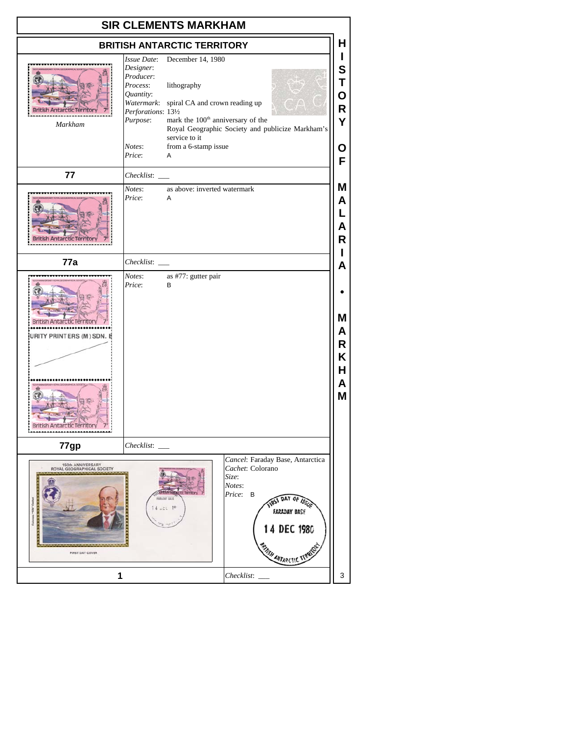